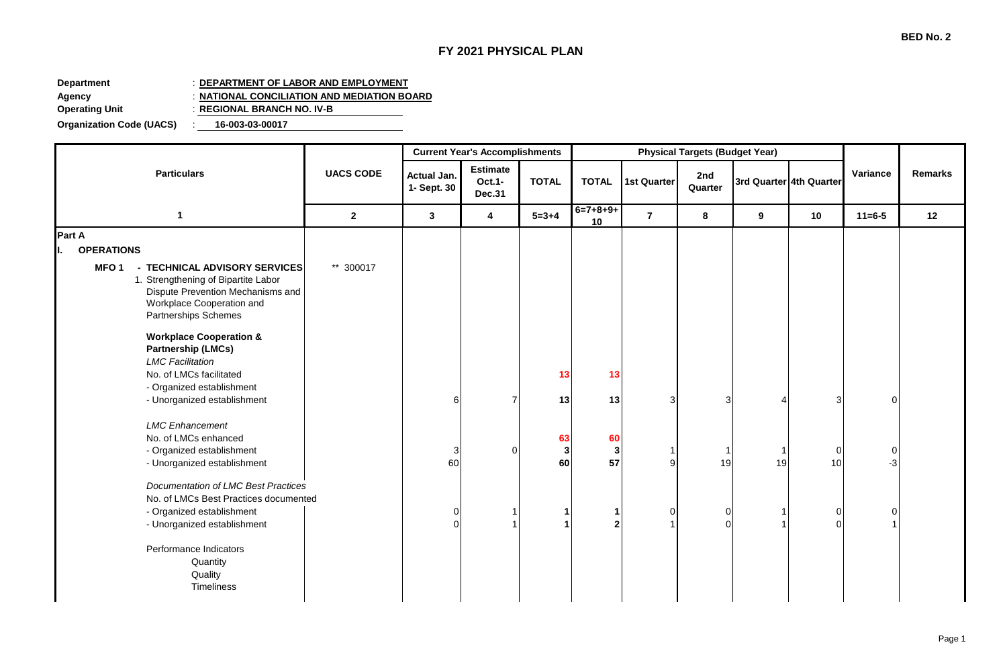## **FY 2021 PHYSICAL PLAN**

## **Department** : **DEPARTMENT OF LABOR AND EMPLOYMENT**

**Agency** : **NATIONAL CONCILIATION AND MEDIATION BOARD**

**Operating Unit** : **REGIONAL BRANCH NO. IV-B**

**Organization Code (UACS)** : **16-003-03-00017**

|                                                                                                                                                                                      |                  |                                   | <b>Current Year's Accomplishments</b>      |               |                         | <b>Physical Targets (Budget Year)</b> |                            |    |                            |                      |         |
|--------------------------------------------------------------------------------------------------------------------------------------------------------------------------------------|------------------|-----------------------------------|--------------------------------------------|---------------|-------------------------|---------------------------------------|----------------------------|----|----------------------------|----------------------|---------|
| <b>Particulars</b>                                                                                                                                                                   | <b>UACS CODE</b> | <b>Actual Jan.</b><br>1- Sept. 30 | <b>Estimate</b><br>Oct.1-<br><b>Dec.31</b> | <b>TOTAL</b>  | <b>TOTAL</b>            | <b>1st Quarter</b>                    | 2nd<br>Quarter             |    | 3rd Quarter 4th Quarter    | Variance             | Remarks |
| $\mathbf 1$                                                                                                                                                                          | $\mathbf{2}$     | $\mathbf{3}$                      | 4                                          | $5 = 3 + 4$   | $6=7+8+9+$<br>10        | $\overline{7}$                        | 8                          | 9  | 10                         | $11 = 6 - 5$         | 12      |
| Part A<br><b>OPERATIONS</b>                                                                                                                                                          |                  |                                   |                                            |               |                         |                                       |                            |    |                            |                      |         |
| <b>MFO1</b><br>- TECHNICAL ADVISORY SERVICES<br>1. Strengthening of Bipartite Labor<br>Dispute Prevention Mechanisms and<br>Workplace Cooperation and<br><b>Partnerships Schemes</b> | ** 300017        |                                   |                                            |               |                         |                                       |                            |    |                            |                      |         |
| <b>Workplace Cooperation &amp;</b><br><b>Partnership (LMCs)</b><br><b>LMC</b> Facilitation<br>No. of LMCs facilitated<br>- Organized establishment<br>- Unorganized establishment    |                  | 61                                | $\overline{7}$                             | 13<br>13      | 13<br>13                | 3                                     | 3                          |    | $\overline{3}$             | $\overline{0}$       |         |
| <b>LMC</b> Enhancement<br>No. of LMCs enhanced<br>- Organized establishment<br>- Unorganized establishment                                                                           |                  | 3<br>60                           | $\Omega$                                   | 63<br>3<br>60 | 60<br>$\mathbf 3$<br>57 | 9                                     | 1<br>19                    | 19 | $\overline{0}$<br>10       | $\overline{0}$<br>-3 |         |
| <b>Documentation of LMC Best Practices</b><br>No. of LMCs Best Practices documented<br>- Organized establishment<br>- Unorganized establishment                                      |                  | $\overline{0}$<br>$\Omega$        |                                            |               | 1<br>$\mathbf{2}$       | $\mathbf 0$                           | $\overline{0}$<br>$\Omega$ |    | $\overline{0}$<br>$\Omega$ | 0                    |         |
| Performance Indicators<br>Quantity<br>Quality<br>Timeliness                                                                                                                          |                  |                                   |                                            |               |                         |                                       |                            |    |                            |                      |         |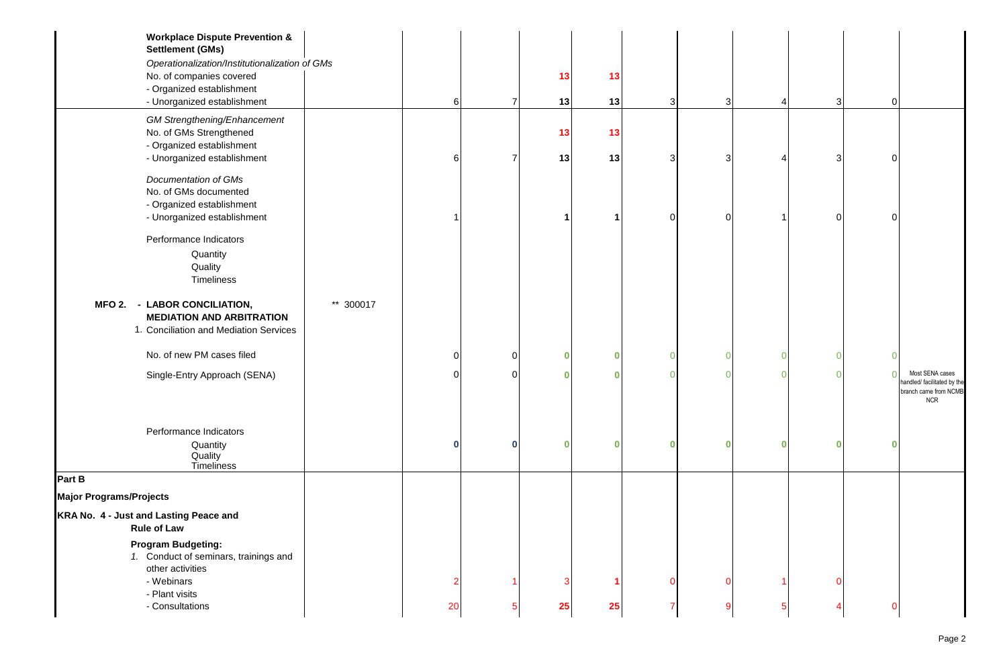| <b>Workplace Dispute Prevention &amp;</b><br><b>Settlement (GMs)</b>                                       |           |             |                |    |    |          |   |                       |          |   |                                                                                       |
|------------------------------------------------------------------------------------------------------------|-----------|-------------|----------------|----|----|----------|---|-----------------------|----------|---|---------------------------------------------------------------------------------------|
| Operationalization/Institutionalization of GMs                                                             |           |             |                |    |    |          |   |                       |          |   |                                                                                       |
| No. of companies covered                                                                                   |           |             |                | 13 | 13 |          |   |                       |          |   |                                                                                       |
| - Organized establishment                                                                                  |           |             |                |    |    |          |   |                       |          |   |                                                                                       |
| - Unorganized establishment                                                                                |           | 6           | $\overline{7}$ | 13 | 13 | 3        | 3 | $\boldsymbol{\Delta}$ | 3        | 0 |                                                                                       |
| <b>GM Strengthening/Enhancement</b>                                                                        |           |             |                |    |    |          |   |                       |          |   |                                                                                       |
| No. of GMs Strengthened                                                                                    |           |             |                | 13 | 13 |          |   |                       |          |   |                                                                                       |
| - Organized establishment<br>- Unorganized establishment                                                   |           | 6           | $\overline{7}$ | 13 | 13 | 3        | 3 | 4                     | 3        |   |                                                                                       |
|                                                                                                            |           |             |                |    |    |          |   |                       |          |   |                                                                                       |
| Documentation of GMs                                                                                       |           |             |                |    |    |          |   |                       |          |   |                                                                                       |
| No. of GMs documented                                                                                      |           |             |                |    |    |          |   |                       |          |   |                                                                                       |
| - Organized establishment                                                                                  |           |             |                |    |    |          |   |                       |          |   |                                                                                       |
| - Unorganized establishment                                                                                |           |             |                |    |    | 0        | ∩ |                       | 0        |   |                                                                                       |
| Performance Indicators                                                                                     |           |             |                |    |    |          |   |                       |          |   |                                                                                       |
| Quantity                                                                                                   |           |             |                |    |    |          |   |                       |          |   |                                                                                       |
| Quality                                                                                                    |           |             |                |    |    |          |   |                       |          |   |                                                                                       |
| Timeliness                                                                                                 |           |             |                |    |    |          |   |                       |          |   |                                                                                       |
| MFO 2. - LABOR CONCILIATION,<br><b>MEDIATION AND ARBITRATION</b><br>1. Conciliation and Mediation Services | ** 300017 |             |                |    |    |          |   |                       |          |   |                                                                                       |
| No. of new PM cases filed                                                                                  |           | 0           | $\overline{0}$ | 0  | 0  | $\Omega$ | n | $\overline{0}$        | 0        |   |                                                                                       |
| Single-Entry Approach (SENA)                                                                               |           | $\Omega$    | $\Omega$       |    | Ω  | $\Omega$ |   | $\overline{0}$        | $\Omega$ |   | Most SENA cases<br>nandled/ facilitated by the<br>branch came from NCMB<br><b>NCR</b> |
| Performance Indicators                                                                                     |           |             |                |    |    |          |   |                       |          |   |                                                                                       |
| Quantity<br>Quality<br>Timeliness                                                                          |           | $\mathbf 0$ | $\bf{0}$       |    | 0  | $\bf{0}$ | n | $\bf{0}$              | n        |   |                                                                                       |
| Part B                                                                                                     |           |             |                |    |    |          |   |                       |          |   |                                                                                       |
| <b>Major Programs/Projects</b>                                                                             |           |             |                |    |    |          |   |                       |          |   |                                                                                       |
| KRA No. 4 - Just and Lasting Peace and<br><b>Rule of Law</b>                                               |           |             |                |    |    |          |   |                       |          |   |                                                                                       |
| <b>Program Budgeting:</b>                                                                                  |           |             |                |    |    |          |   |                       |          |   |                                                                                       |
| 1. Conduct of seminars, trainings and                                                                      |           |             |                |    |    |          |   |                       |          |   |                                                                                       |
| other activities                                                                                           |           |             |                |    |    |          |   |                       |          |   |                                                                                       |
| - Webinars                                                                                                 |           | 2           |                |    |    | $\Omega$ |   |                       | n        |   |                                                                                       |
| - Plant visits<br>- Consultations                                                                          |           | 20          | 5              | 25 | 25 |          |   | 5                     |          |   |                                                                                       |
|                                                                                                            |           |             |                |    |    |          |   |                       |          |   |                                                                                       |